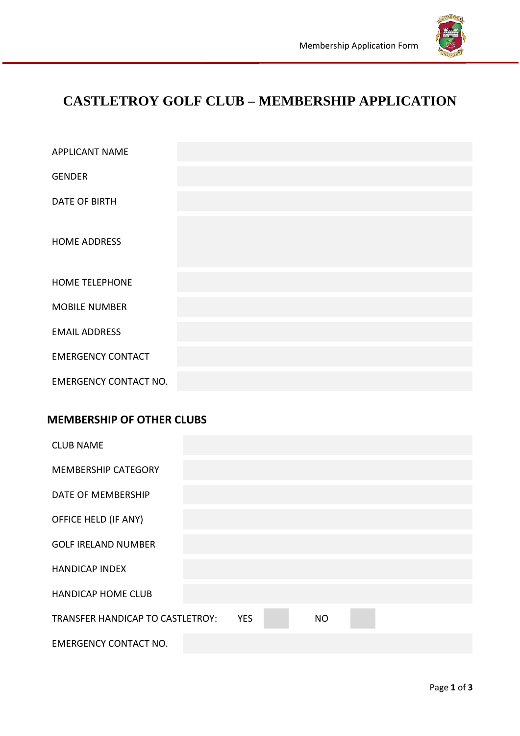

# **CASTLETROY GOLF CLUB – MEMBERSHIP APPLICATION**

| <b>APPLICANT NAME</b>        |  |
|------------------------------|--|
| <b>GENDER</b>                |  |
| <b>DATE OF BIRTH</b>         |  |
| <b>HOME ADDRESS</b>          |  |
| <b>HOME TELEPHONE</b>        |  |
| <b>MOBILE NUMBER</b>         |  |
| <b>EMAIL ADDRESS</b>         |  |
| <b>EMERGENCY CONTACT</b>     |  |
| <b>EMERGENCY CONTACT NO.</b> |  |

# **MEMBERSHIP OF OTHER CLUBS**

| <b>CLUB NAME</b>                 |            |           |  |  |
|----------------------------------|------------|-----------|--|--|
| <b>MEMBERSHIP CATEGORY</b>       |            |           |  |  |
| DATE OF MEMBERSHIP               |            |           |  |  |
| OFFICE HELD (IF ANY)             |            |           |  |  |
| <b>GOLF IRELAND NUMBER</b>       |            |           |  |  |
| <b>HANDICAP INDEX</b>            |            |           |  |  |
| <b>HANDICAP HOME CLUB</b>        |            |           |  |  |
| TRANSFER HANDICAP TO CASTLETROY: | <b>YES</b> | <b>NO</b> |  |  |
| <b>EMERGENCY CONTACT NO.</b>     |            |           |  |  |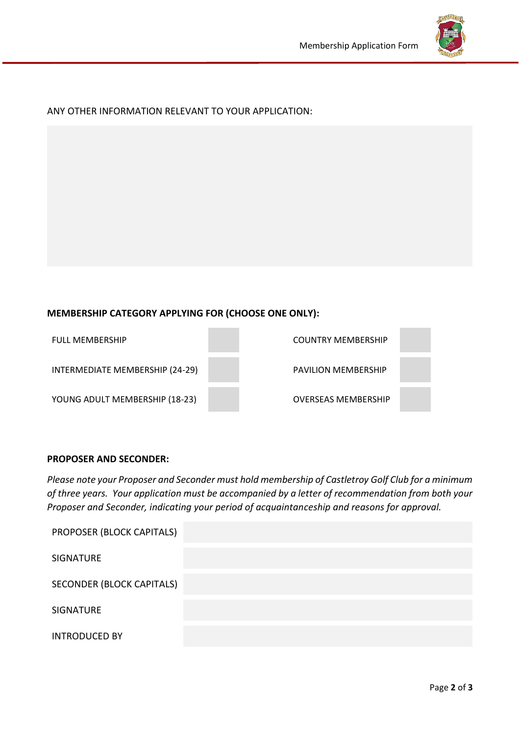

## ANY OTHER INFORMATION RELEVANT TO YOUR APPLICATION:

## **MEMBERSHIP CATEGORY APPLYING FOR (CHOOSE ONE ONLY):**

| <b>FULL MEMBERSHIP</b>          | <b>COUNTRY MEMBERSHIP</b>  |
|---------------------------------|----------------------------|
| INTERMEDIATE MEMBERSHIP (24-29) | <b>PAVILION MEMBERSHIP</b> |
| YOUNG ADULT MEMBERSHIP (18-23)  | <b>OVERSEAS MEMBERSHIP</b> |

#### **PROPOSER AND SECONDER:**

*Please note your Proposer and Seconder must hold membership of Castletroy Golf Club for a minimum of three years. Your application must be accompanied by a letter of recommendation from both your Proposer and Seconder, indicating your period of acquaintanceship and reasons for approval.* 

| PROPOSER (BLOCK CAPITALS)        |  |
|----------------------------------|--|
| <b>SIGNATURE</b>                 |  |
| <b>SECONDER (BLOCK CAPITALS)</b> |  |
| <b>SIGNATURE</b>                 |  |
| <b>INTRODUCED BY</b>             |  |